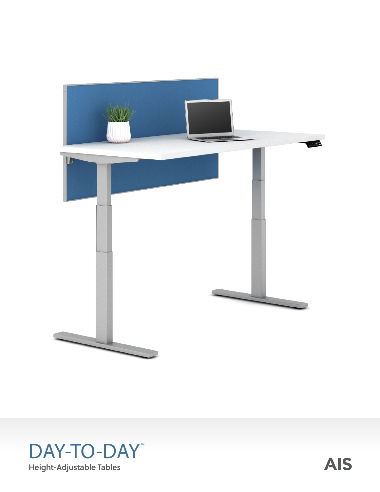